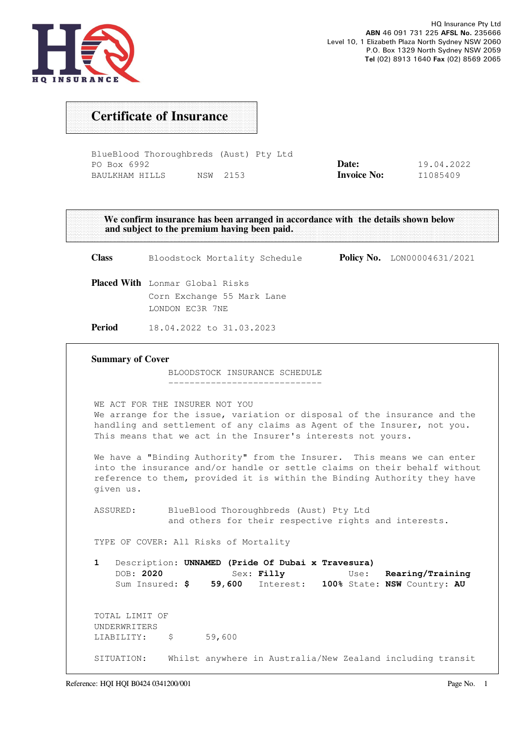

# Certificate of Insurance

| BlueBlood Thoroughbreds (Aust) Pty Ltd |          |  |                    |            |
|----------------------------------------|----------|--|--------------------|------------|
| PO Box 6992                            |          |  | Date:              | 19.04.2022 |
| BAULKHAM HILLS                         | NSW 2153 |  | <b>Invoice No:</b> | I1085409   |

|                         | We confirm insurance has been arranged in accordance with the details shown below<br>and subject to the premium having been paid.                                                                                                                     |                                    |
|-------------------------|-------------------------------------------------------------------------------------------------------------------------------------------------------------------------------------------------------------------------------------------------------|------------------------------------|
| <b>Class</b>            | Bloodstock Mortality Schedule                                                                                                                                                                                                                         | <b>Policy No.</b> LON00004631/2021 |
|                         | <b>Placed With</b> Lonmar Global Risks<br>Corn Exchange 55 Mark Lane<br>LONDON EC3R 7NE                                                                                                                                                               |                                    |
| Period                  | 18.04.2022 to 31.03.2023                                                                                                                                                                                                                              |                                    |
| <b>Summary of Cover</b> | BLOODSTOCK INSURANCE SCHEDULE                                                                                                                                                                                                                         |                                    |
|                         | WE ACT FOR THE INSURER NOT YOU<br>We arrange for the issue, variation or disposal of the insurance and the<br>handling and settlement of any claims as Agent of the Insurer, not you.<br>This means that we act in the Insurer's interests not yours. |                                    |
| given us.               | We have a "Binding Authority" from the Insurer. This means we can enter<br>into the insurance and/or handle or settle claims on their behalf without<br>reference to them, provided it is within the Binding Authority they have                      |                                    |

 ASSURED: BlueBlood Thoroughbreds (Aust) Pty Ltd and others for their respective rights and interests.

TYPE OF COVER: All Risks of Mortality

1 Description: UNNAMED (Pride Of Dubai x Travesura) DOB: 2020 Sex: Filly Use: Rearing/Training Sum Insured: \$ 59,600 Interest: 100% State: NSW Country: AU TOTAL LIMIT OF UNDERWRITERS LIABILITY: \$ 59,600

SITUATION: Whilst anywhere in Australia/New Zealand including transit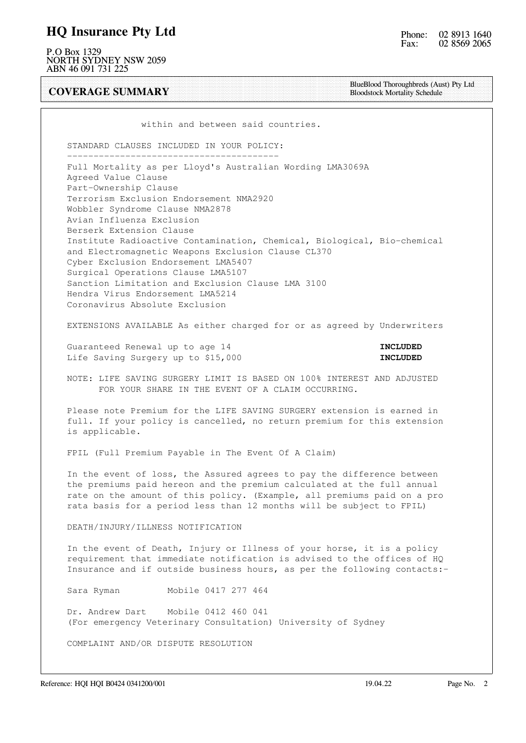#### HQ Insurance Pty Ltd

P.O Box 1329 NORTH SYDNEY NSW 2059 ABN 46 091 731 225

COVERAGE SUMMARY

BlueBlood Thoroughbreds (Aust) Pty Ltd Bloodstock Mortality Schedule

within and between said countries.

 STANDARD CLAUSES INCLUDED IN YOUR POLICY: ----------------------------------------

 Full Mortality as per Lloyd's Australian Wording LMA3069A Agreed Value Clause Part-Ownership Clause Terrorism Exclusion Endorsement NMA2920 Wobbler Syndrome Clause NMA2878 Avian Influenza Exclusion Berserk Extension Clause Institute Radioactive Contamination, Chemical, Biological, Bio-chemical and Electromagnetic Weapons Exclusion Clause CL370 Cyber Exclusion Endorsement LMA5407 Surgical Operations Clause LMA5107 Sanction Limitation and Exclusion Clause LMA 3100 Hendra Virus Endorsement LMA5214 Coronavirus Absolute Exclusion

EXTENSIONS AVAILABLE As either charged for or as agreed by Underwriters

Guaranteed Renewal up to age 14 **INCLUDED** Life Saving Surgery up to \$15,000 **INCLUDED** 

 NOTE: LIFE SAVING SURGERY LIMIT IS BASED ON 100% INTEREST AND ADJUSTED FOR YOUR SHARE IN THE EVENT OF A CLAIM OCCURRING.

 Please note Premium for the LIFE SAVING SURGERY extension is earned in full. If your policy is cancelled, no return premium for this extension is applicable.

FPIL (Full Premium Payable in The Event Of A Claim)

 In the event of loss, the Assured agrees to pay the difference between the premiums paid hereon and the premium calculated at the full annual rate on the amount of this policy. (Example, all premiums paid on a pro rata basis for a period less than 12 months will be subject to FPIL)

DEATH/INJURY/ILLNESS NOTIFICATION

 In the event of Death, Injury or Illness of your horse, it is a policy requirement that immediate notification is advised to the offices of HQ Insurance and if outside business hours, as per the following contacts:-

Sara Ryman Mobile 0417 277 464

 Dr. Andrew Dart Mobile 0412 460 041 (For emergency Veterinary Consultation) University of Sydney

COMPLAINT AND/OR DISPUTE RESOLUTION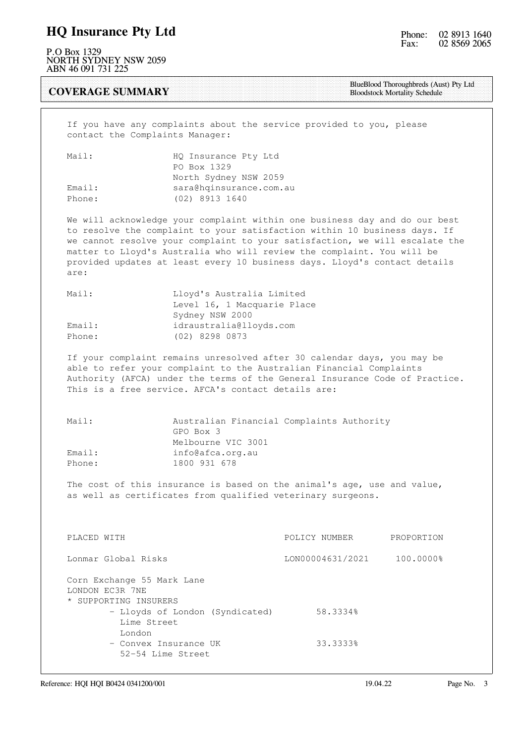### HQ Insurance Pty Ltd

P.O Box 1329 NORTH SYDNEY NSW 2059 ABN 46 091 731 225

COVERAGE SUMMARY

BlueBlood Thoroughbreds (Aust) Pty Ltd Bloodstock Mortality Schedule

 If you have any complaints about the service provided to you, please contact the Complaints Manager:

| Mail:  | HQ Insurance Pty Ltd    |
|--------|-------------------------|
|        | PO Box 1329             |
|        | North Sydney NSW 2059   |
| Email: | sara@hqinsurance.com.au |
| Phone: | (02) 8913 1640          |

 We will acknowledge your complaint within one business day and do our best to resolve the complaint to your satisfaction within 10 business days. If we cannot resolve your complaint to your satisfaction, we will escalate the matter to Lloyd's Australia who will review the complaint. You will be provided updates at least every 10 business days. Lloyd's contact details are:

| Mail:  | Lloyd's Australia Limited   |
|--------|-----------------------------|
|        | Level 16, 1 Macquarie Place |
|        | Sydney NSW 2000             |
| Email: | idraustralia@lloyds.com     |
| Phone: | (02) 8298 0873              |

 If your complaint remains unresolved after 30 calendar days, you may be able to refer your complaint to the Australian Financial Complaints Authority (AFCA) under the terms of the General Insurance Code of Practice. This is a free service. AFCA's contact details are:

| Mail:  | Australian Financial Complaints Authority |
|--------|-------------------------------------------|
|        | GPO Box 3                                 |
|        | Melbourne VIC 3001                        |
| Email: | info@afca.org.au                          |
| Phone: | 1800 931 678                              |

 The cost of this insurance is based on the animal's age, use and value, as well as certificates from qualified veterinary surgeons.

| PLACED WITH                                                            | POLICY NUMBER    | PROPORTION |
|------------------------------------------------------------------------|------------------|------------|
| Lonmar Global Risks                                                    | LON00004631/2021 | 100.0000%  |
| Corn Exchange 55 Mark Lane<br>LONDON EC3R 7NE<br>* SUPPORTING INSURERS |                  |            |
| - Lloyds of London (Syndicated)                                        | 58.3334%         |            |
| Lime Street                                                            |                  |            |
| London                                                                 |                  |            |
| - Convex Insurance UK                                                  | 33.3333%         |            |
| 52-54 Lime Street                                                      |                  |            |